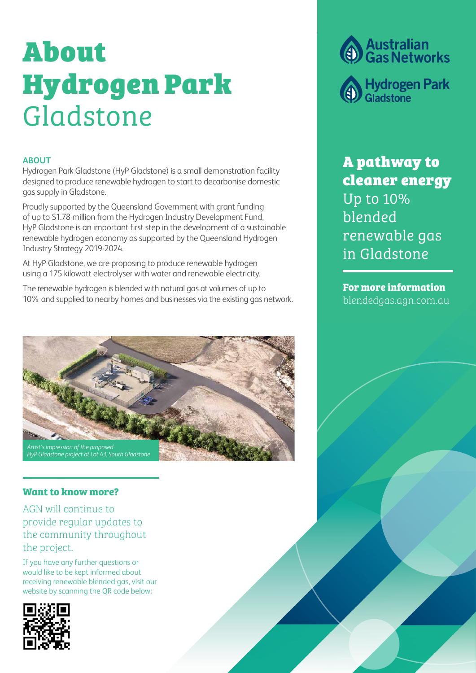# About Hydrogen Park Gladstone

## **ABOUT**

Hydrogen Park Gladstone (HyP Gladstone) is a small demonstration facility designed to produce renewable hydrogen to start to decarbonise domestic gas supply in Gladstone.

Proudly supported by the Queensland Government with grant funding of up to \$1.78 million from the Hydrogen Industry Development Fund, HyP Gladstone is an important first step in the development of a sustainable renewable hydrogen economy as supported by the Queensland Hydrogen Industry Strategy 2019-2024.

At HyP Gladstone, we are proposing to produce renewable hydrogen using a 175 kilowatt electrolyser with water and renewable electricity.

The renewable hydrogen is blended with natural gas at volumes of up to 10% and supplied to nearby homes and businesses via the existing gas network.



## **Want to know more?**

AGN will continue to provide regular updates to the community throughout the project.

If you have any further questions or would like to be kept informed about receiving renewable blended gas, visit our website by scanning the QR code below:



**Australian<br>Gas Networks** 

**Hydrogen Park**<br>Gladstone

A pathway to cleaner energy Up to 10% blended renewable gas in Gladstone

**For more information**  blendedgas.agn.com.au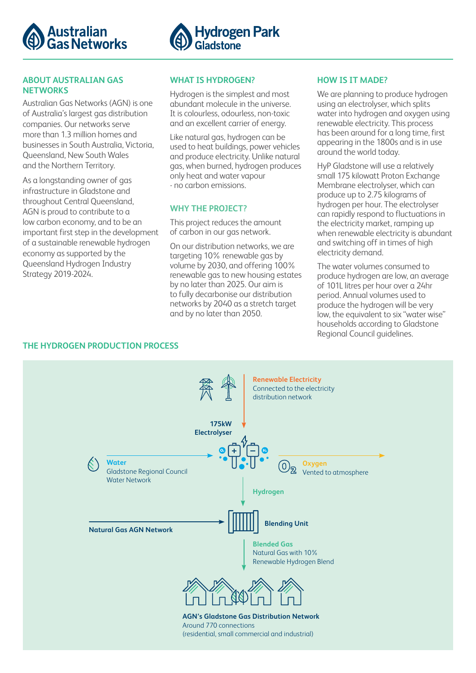



#### **ABOUT AUSTRALIAN GAS NETWORKS**

Australian Gas Networks (AGN) is one of Australia's largest gas distribution companies. Our networks serve more than 1.3 million homes and businesses in South Australia, Victoria, Queensland, New South Wales and the Northern Territory.

As a longstanding owner of gas infrastructure in Gladstone and throughout Central Queensland, AGN is proud to contribute to a low carbon economy, and to be an important first step in the development of a sustainable renewable hydrogen economy as supported by the Queensland Hydrogen Industry Strategy 2019-2024.

## **WHAT IS HYDROGEN?**

Hydrogen is the simplest and most abundant molecule in the universe. It is colourless, odourless, non-toxic and an excellent carrier of energy.

Like natural gas, hydrogen can be used to heat buildings, power vehicles and produce electricity. Unlike natural gas, when burned, hydrogen produces only heat and water vapour - no carbon emissions.

## **WHY THE PROJECT?**

This project reduces the amount of carbon in our gas network.

On our distribution networks, we are targeting 10% renewable gas by volume by 2030, and offering 100% renewable gas to new housing estates by no later than 2025. Our aim is to fully decarbonise our distribution networks by 2040 as a stretch target and by no later than 2050.

#### **HOW IS IT MADE?**

We are planning to produce hydrogen using an electrolyser, which splits water into hydrogen and oxygen using renewable electricity. This process has been around for a long time, first appearing in the 1800s and is in use around the world today.

HyP Gladstone will use a relatively small 175 kilowatt Proton Exchange Membrane electrolyser, which can produce up to 2.75 kilograms of hydrogen per hour. The electrolyser can rapidly respond to fluctuations in the electricity market, ramping up when renewable electricity is abundant and switching off in times of high electricity demand.

The water volumes consumed to produce hydrogen are low, an average of 101L litres per hour over a 24hr period. Annual volumes used to produce the hydrogen will be very low, the equivalent to six "water wise" households according to Gladstone Regional Council guidelines.

## **THE HYDROGEN PRODUCTION PROCESS**

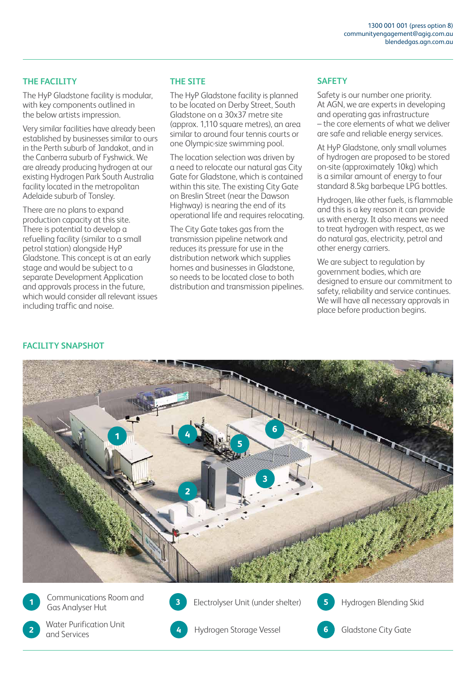## **THE FACILITY**

The HyP Gladstone facility is modular, with key components outlined in the below artists impression.

Very similar facilities have already been established by businesses similar to ours in the Perth suburb of Jandakot, and in the Canberra suburb of Fyshwick. We are already producing hydrogen at our existing Hydrogen Park South Australia facility located in the metropolitan Adelaide suburb of Tonsley.

There are no plans to expand production capacity at this site. There is potential to develop a refuelling facility (similar to a small petrol station) alongside HyP Gladstone. This concept is at an early stage and would be subject to a separate Development Application and approvals process in the future, which would consider all relevant issues including traffic and noise.

## **THE SITE**

The HyP Gladstone facility is planned to be located on Derby Street, South Gladstone on a 30x37 metre site (approx. 1,110 square metres), an area similar to around four tennis courts or one Olympic-size swimming pool.

The location selection was driven by a need to relocate our natural gas City Gate for Gladstone, which is contained within this site. The existing City Gate on Breslin Street (near the Dawson Highway) is nearing the end of its operational life and requires relocating.

The City Gate takes gas from the transmission pipeline network and reduces its pressure for use in the distribution network which supplies homes and businesses in Gladstone, so needs to be located close to both distribution and transmission pipelines.

## **SAFETY**

Safety is our number one priority. At AGN, we are experts in developing and operating gas infrastructure – the core elements of what we deliver are safe and reliable energy services.

At HyP Gladstone, only small volumes of hydrogen are proposed to be stored on-site (approximately 10kg) which is a similar amount of energy to four standard 8.5kg barbeque LPG bottles.

Hydrogen, like other fuels, is flammable and this is a key reason it can provide us with energy. It also means we need to treat hydrogen with respect, as we do natural gas, electricity, petrol and other energy carriers.

We are subject to regulation by government bodies, which are designed to ensure our commitment to safety, reliability and service continues. We will have all necessary approvals in place before production begins.

## **FACILITY SNAPSHOT**



**1 Gas Analyser Hut Gas Analyser Hut Community Community** Electrolyser Unit (under shelter) **5** Hydrogen Blending Skid Communications Room and



**2 6 6 6 6 6 6 6 6** Gladstone City Gate and Services Water Purification Unit<br>and Services



**3**